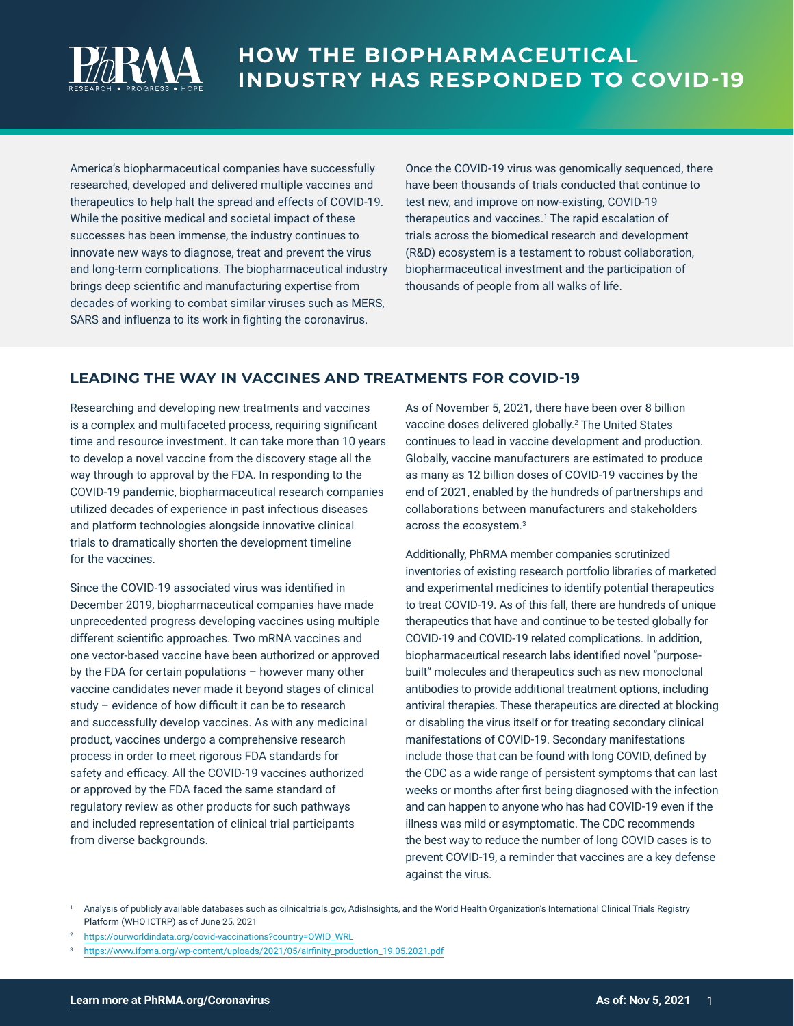

America's biopharmaceutical companies have successfully researched, developed and delivered multiple vaccines and therapeutics to help halt the spread and effects of COVID-19. While the positive medical and societal impact of these successes has been immense, the industry continues to innovate new ways to diagnose, treat and prevent the virus and long-term complications. The biopharmaceutical industry brings deep scientific and manufacturing expertise from decades of working to combat similar viruses such as MERS, SARS and influenza to its work in fighting the coronavirus.

Once the COVID-19 virus was genomically sequenced, there have been thousands of trials conducted that continue to test new, and improve on now-existing, COVID-19 therapeutics and vaccines.<sup>1</sup> The rapid escalation of trials across the biomedical research and development (R&D) ecosystem is a testament to robust collaboration, biopharmaceutical investment and the participation of thousands of people from all walks of life.

## **LEADING THE WAY IN VACCINES AND TREATMENTS FOR COVID-19**

Researching and developing new treatments and vaccines is a complex and multifaceted process, requiring significant time and resource investment. It can take more than 10 years to develop a novel vaccine from the discovery stage all the way through to approval by the FDA. In responding to the COVID-19 pandemic, biopharmaceutical research companies utilized decades of experience in past infectious diseases and platform technologies alongside innovative clinical trials to dramatically shorten the development timeline for the vaccines.

Since the COVID-19 associated virus was identified in December 2019, biopharmaceutical companies have made unprecedented progress developing vaccines using multiple different scientific approaches. Two mRNA vaccines and one vector-based vaccine have been authorized or approved by the FDA for certain populations – however many other vaccine candidates never made it beyond stages of clinical study – evidence of how difficult it can be to research and successfully develop vaccines. As with any medicinal product, vaccines undergo a comprehensive research process in order to meet rigorous FDA standards for safety and efficacy. All the COVID-19 vaccines authorized or approved by the FDA faced the same standard of regulatory review as other products for such pathways and included representation of clinical trial participants from diverse backgrounds.

As of November 5, 2021, there have been over 8 billion vaccine doses delivered globally.<sup>2</sup> The United States continues to lead in vaccine development and production. Globally, vaccine manufacturers are estimated to produce as many as 12 billion doses of COVID-19 vaccines by the end of 2021, enabled by the hundreds of partnerships and collaborations between manufacturers and stakeholders across the ecosystem.3

Additionally, PhRMA member companies scrutinized inventories of existing research portfolio libraries of marketed and experimental medicines to identify potential therapeutics to treat COVID-19. As of this fall, there are hundreds of unique therapeutics that have and continue to be tested globally for COVID-19 and COVID-19 related complications. In addition, biopharmaceutical research labs identified novel "purposebuilt" molecules and therapeutics such as new monoclonal antibodies to provide additional treatment options, including antiviral therapies. These therapeutics are directed at blocking or disabling the virus itself or for treating secondary clinical manifestations of COVID-19. Secondary manifestations include those that can be found with long COVID, defined by the CDC as a wide range of persistent symptoms that can last weeks or months after first being diagnosed with the infection and can happen to anyone who has had COVID-19 even if the illness was mild or asymptomatic. The CDC recommends the best way to reduce the number of long COVID cases is to prevent COVID-19, a reminder that vaccines are a key defense against the virus.

<sup>1</sup> Analysis of publicly available databases such as cilnicaltrials.gov, AdisInsights, and the World Health Organization's International Clinical Trials Registry Platform (WHO ICTRP) as of June 25, 2021

<sup>2</sup> [https://ourworldindata.org/covid-vaccinations?country=OWID\\_WRL](https://ourworldindata.org/covid-vaccinations?country=OWID_WRL)

<sup>3</sup> [https://www.ifpma.org/wp-content/uploads/2021/05/airfinity\\_production\\_19.05.2021.pdf](https://www.ifpma.org/wp-content/uploads/2021/05/airfinity_production_19.05.2021.pdf)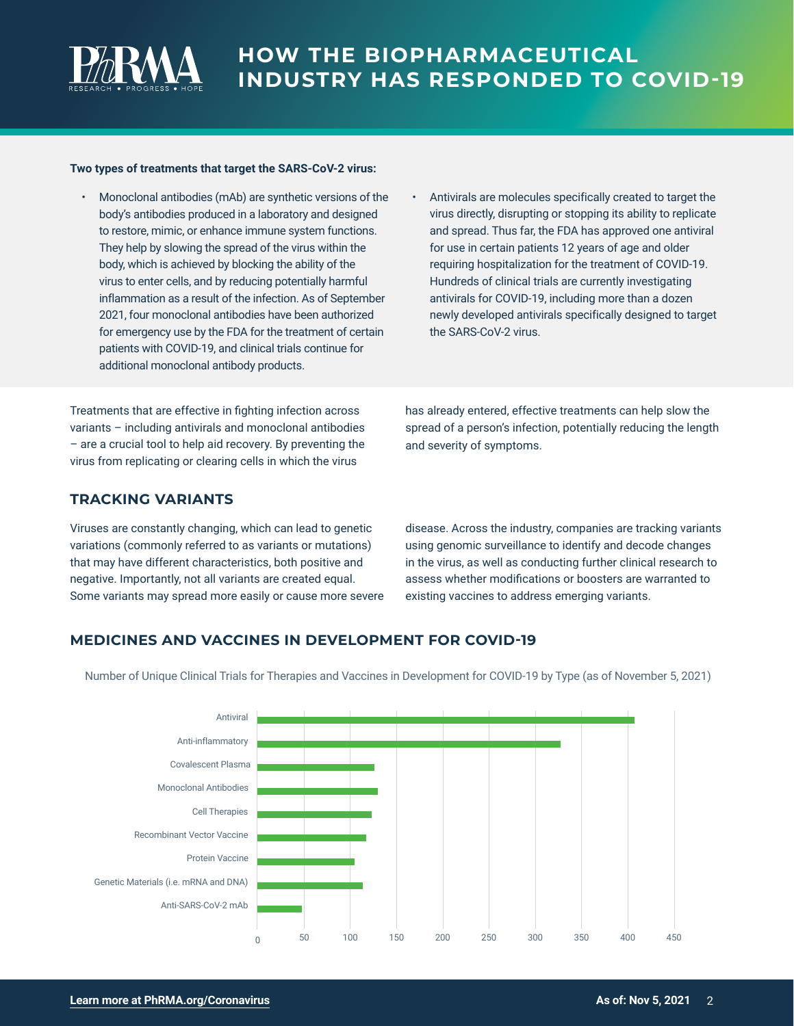

#### **Two types of treatments that target the SARS-CoV-2 virus:**

- Monoclonal antibodies (mAb) are synthetic versions of the body's antibodies produced in a laboratory and designed to restore, mimic, or enhance immune system functions. They help by slowing the spread of the virus within the body, which is achieved by blocking the ability of the virus to enter cells, and by reducing potentially harmful inflammation as a result of the infection. As of September 2021, four monoclonal antibodies have been authorized for emergency use by the FDA for the treatment of certain patients with COVID-19, and clinical trials continue for additional monoclonal antibody products.
- Antivirals are molecules specifically created to target the virus directly, disrupting or stopping its ability to replicate and spread. Thus far, the FDA has approved one antiviral for use in certain patients 12 years of age and older requiring hospitalization for the treatment of COVID-19. Hundreds of clinical trials are currently investigating antivirals for COVID-19, including more than a dozen newly developed antivirals specifically designed to target the SARS-CoV-2 virus.

Treatments that are effective in fighting infection across variants – including antivirals and monoclonal antibodies – are a crucial tool to help aid recovery. By preventing the virus from replicating or clearing cells in which the virus

has already entered, effective treatments can help slow the spread of a person's infection, potentially reducing the length and severity of symptoms.

#### **TRACKING VARIANTS**

Viruses are constantly changing, which can lead to genetic variations (commonly referred to as variants or mutations) that may have different characteristics, both positive and negative. Importantly, not all variants are created equal. Some variants may spread more easily or cause more severe disease. Across the industry, companies are tracking variants using genomic surveillance to identify and decode changes in the virus, as well as conducting further clinical research to assess whether modifications or boosters are warranted to existing vaccines to address emerging variants.

## **MEDICINES AND VACCINES IN DEVELOPMENT FOR COVID-19**

Number of Unique Clinical Trials for Therapies and Vaccines in Development for COVID-19 by Type (as of November 5, 2021)